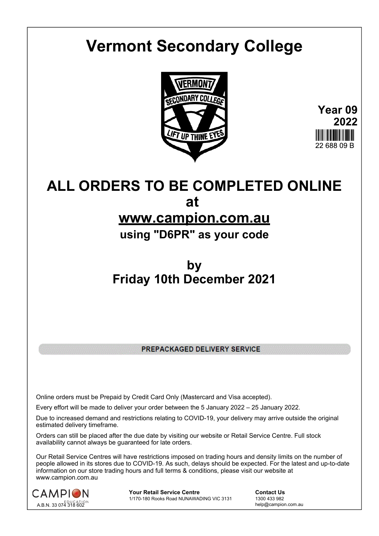# **Vermont Secondary College**



**Year 09 2022** 22 688 09 B

# **ALL ORDERS TO BE COMPLETED ONLINE at**

### **www.campion.com.au**

**using "D6PR" as your code**

## **by Friday 10th December 2021**

PREPACKAGED DELIVERY SERVICE

Online orders must be Prepaid by Credit Card Only (Mastercard and Visa accepted).

Every effort will be made to deliver your order between the 5 January 2022 – 25 January 2022.

Due to increased demand and restrictions relating to COVID-19, your delivery may arrive outside the original estimated delivery timeframe.

Orders can still be placed after the due date by visiting our website or Retail Service Centre. Full stock availability cannot always be guaranteed for late orders.

Our Retail Service Centres will have restrictions imposed on trading hours and density limits on the number of people allowed in its stores due to COVID-19. As such, delays should be expected. For the latest and up-to-date information on our store trading hours and full terms & conditions, please visit our website at www.campion.com.au



**Your Retail Service Centre Contact Us**<br>
1770-180 Rooks Road NUNAWADING VIC 3131
1300 433 982 1/170-180 Rooks Road NUNAWADING VIC 3131

help@campion.com.au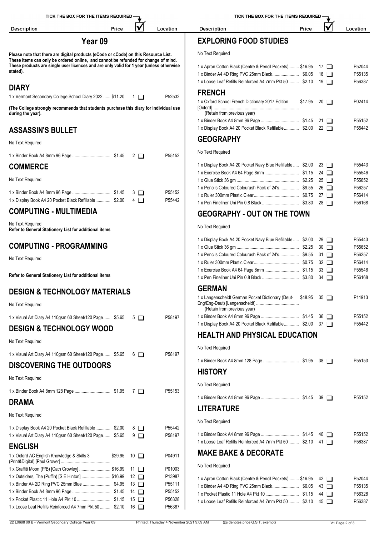| TICK THE BOX FOR THE ITEMS REQUIRED -                                                                                                                                     |                    |                  | TICK THE BOX FOR THE ITEMS REQUIRED                                           |                    |                  |  |
|---------------------------------------------------------------------------------------------------------------------------------------------------------------------------|--------------------|------------------|-------------------------------------------------------------------------------|--------------------|------------------|--|
| <b>Description</b><br>Price                                                                                                                                               | V                  | Location         | <b>Description</b><br>Price                                                   | V                  | Location         |  |
| Year <sub>09</sub>                                                                                                                                                        |                    |                  | <b>EXPLORING FOOD STUDIES</b>                                                 |                    |                  |  |
| Please note that there are digital products (eCode or cCode) on this Resource List.<br>These items can only be ordered online, and cannot be refunded for change of mind. |                    |                  | No Text Required                                                              |                    |                  |  |
| These products are single user licences and are only valid for 1 year (unless otherwise<br>stated).                                                                       |                    |                  | 1 x Apron Cotton Black (Centre & Pencil Pockets) \$16.95 17                   |                    | P52044<br>P55135 |  |
|                                                                                                                                                                           |                    |                  | 1 x Loose Leaf Refills Reinforced A4 7mm Pkt 50  \$2.10 19                    |                    | P56387           |  |
| <b>DIARY</b>                                                                                                                                                              |                    |                  | <b>FRENCH</b>                                                                 |                    |                  |  |
| 1 x Vermont Secondary College School Diary 2022  \$11.20 1<br>(The College strongly recommends that students purchase this diary for individual use                       |                    | P52532           | 1 x Oxford School French Dictionary 2017 Edition                              | $$17.95$ 20 $\Box$ | P02414           |  |
| during the year).                                                                                                                                                         |                    |                  | (Retain from previous year)                                                   |                    |                  |  |
| <b>ASSASSIN'S BULLET</b>                                                                                                                                                  |                    |                  | 1 x Display Book A4 20 Pocket Black Refillable \$2.00 22                      |                    | P55152<br>P55442 |  |
|                                                                                                                                                                           |                    |                  | <b>GEOGRAPHY</b>                                                              |                    |                  |  |
| No Text Required                                                                                                                                                          |                    |                  | No Text Required                                                              |                    |                  |  |
|                                                                                                                                                                           |                    | P55152           |                                                                               |                    | P55443           |  |
| <b>COMMERCE</b>                                                                                                                                                           |                    |                  | 1 x Display Book A4 20 Pocket Navy Blue Refillable  \$2.00 23                 |                    | P55546           |  |
| No Text Required                                                                                                                                                          |                    |                  |                                                                               |                    | P55652           |  |
|                                                                                                                                                                           |                    |                  | 1 x Pencils Coloured Colourush Pack of 24's \$9.55 26                         |                    | P56257           |  |
| 1 x Display Book A4 20 Pocket Black Refillable \$2.00                                                                                                                     | $4\Box$            | P55152<br>P55442 |                                                                               |                    | P56414           |  |
| <b>COMPUTING - MULTIMEDIA</b>                                                                                                                                             |                    |                  | <b>GEOGRAPHY - OUT ON THE TOWN</b>                                            |                    | P56168           |  |
| No Text Required                                                                                                                                                          |                    |                  | No Text Required                                                              |                    |                  |  |
| Refer to General Stationery List for additional items                                                                                                                     |                    |                  | 1 x Display Book A4 20 Pocket Navy Blue Refillable  \$2.00 29                 |                    | P55443           |  |
| <b>COMPUTING - PROGRAMMING</b>                                                                                                                                            |                    |                  |                                                                               |                    | P55652           |  |
| No Text Required                                                                                                                                                          |                    |                  | 1 x Pencils Coloured Colourush Pack of 24's \$9.55 31                         |                    | P56257           |  |
|                                                                                                                                                                           |                    |                  |                                                                               | $32$ $\Box$        | P56414<br>P55546 |  |
| Refer to General Stationery List for additional items                                                                                                                     |                    |                  |                                                                               |                    | P56168           |  |
| <b>DESIGN &amp; TECHNOLOGY MATERIALS</b>                                                                                                                                  |                    |                  | <b>GERMAN</b><br>1 x Langenscheidt German Pocket Dictionary (Deut- \$48.95 35 |                    |                  |  |
| No Text Required                                                                                                                                                          |                    |                  | (Retain from previous year)                                                   |                    | P11913           |  |
| 1 x Visual Art Diary A4 110gsm 60 Sheet/120 Page  \$5.65                                                                                                                  | $5\Box$            | P58197           |                                                                               |                    | P55152           |  |
| <b>DESIGN &amp; TECHNOLOGY WOOD</b>                                                                                                                                       |                    |                  | 1 x Display Book A4 20 Pocket Black Refillable \$2.00 37                      |                    | P55442           |  |
| No Text Required                                                                                                                                                          |                    |                  | <b>HEALTH AND PHYSICAL EDUCATION</b>                                          |                    |                  |  |
| 1 x Visual Art Diary A4 110gsm 60 Sheet/120 Page  \$5.65                                                                                                                  | $6\Box$            | P58197           | No Text Required                                                              |                    |                  |  |
| <b>DISCOVERING THE OUTDOORS</b>                                                                                                                                           |                    |                  |                                                                               |                    | P55153           |  |
| No Text Required                                                                                                                                                          |                    |                  | <b>HISTORY</b>                                                                |                    |                  |  |
|                                                                                                                                                                           |                    | P55153           | No Text Required                                                              |                    |                  |  |
| <b>DRAMA</b>                                                                                                                                                              |                    |                  |                                                                               |                    | P55152           |  |
| No Text Required                                                                                                                                                          |                    |                  | <b>LITERATURE</b>                                                             |                    |                  |  |
| 1 x Display Book A4 20 Pocket Black Refillable \$2.00                                                                                                                     | $8\Box$            | P55442           | No Text Required                                                              |                    |                  |  |
| 1 x Visual Art Diary A4 110gsm 60 Sheet/120 Page  \$5.65                                                                                                                  | 9 □                | P58197           | 1 x Loose Leaf Refills Reinforced A4 7mm Pkt 50  \$2.10 41                    |                    | P55152<br>P56387 |  |
| <b>ENGLISH</b>                                                                                                                                                            |                    |                  |                                                                               |                    |                  |  |
| 1 x Oxford AC English Knowledge & Skills 3                                                                                                                                | $$29.95$ 10 $\Box$ | P04911           | <b>MAKE BAKE &amp; DECORATE</b>                                               |                    |                  |  |
| 1 x Graffiti Moon (P/B) [Cath Crowley]  \$16.99 11                                                                                                                        |                    | P01003           | No Text Required                                                              |                    |                  |  |
| 1 x Outsiders, The (Puffin) [S E Hinton]  \$16.99 12                                                                                                                      |                    | P13987           | 1 x Apron Cotton Black (Centre & Pencil Pockets) \$16.95 42                   |                    | P52044           |  |
|                                                                                                                                                                           |                    | P55111<br>P55152 |                                                                               |                    | P55135           |  |
|                                                                                                                                                                           |                    | P56328           |                                                                               |                    | P56328           |  |
| 1 x Loose Leaf Refills Reinforced A4 7mm Pkt 50  \$2.10 16                                                                                                                |                    | P56387           | 1 x Loose Leaf Refills Reinforced A4 7mm Pkt 50  \$2.10 45                    |                    | P56387           |  |
|                                                                                                                                                                           |                    |                  |                                                                               |                    |                  |  |